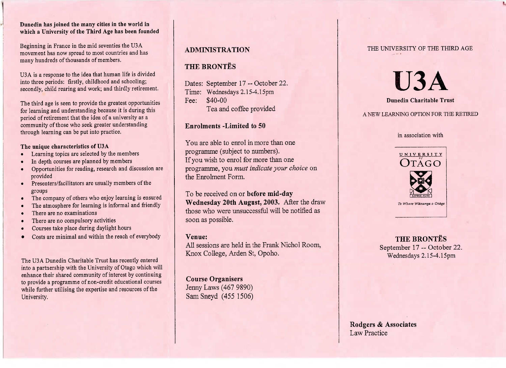### **Dunedin has joined the many cities in the world inwhich a University of the Third Age has been founded**

Beginning in France in the mid seventies the USA movement has now spread to most countries and hasmany hundreds of thousands of members.

USA is a response to the idea that human life is dividedinto three periods: firstly, childhood and schooling;econdly, child rearing and work; and thirdly retirement.

The third age is seen to provide the greatest opportunitiesfor learning and understanding because it is during thisperiod of retirement that the idea of a university as a community of those who seek greater understandingthrough learning can be put into practice.

### **The unique characteristics of U3A**

- Learning topics are selected by the members
- In depth courses are planned by members
- Opportunities for reading, research and discussion areprovided
- Presenters/facilitators are usually members of thegroups
- The company of others who enjoy learning is ensured
- The atmosphere for learning is informal and friendly
- There are no examinations
- There are no compulsory activities
- Courses take place during daylight hours
- Costs are minimal and within the reach of everybody

The USA Dunedin Charitable Trust has recently entered into a partnership with the University of Otago which will enhance their shared community of interest by continuing to provide a programme of non-credit educational courseswhile further utilising the expertise and resources of theUniversity.

## **ADMINISTRATION**

# **THE BRONTES**

Dates: September 17 -- October 22.Time: Wednesdays 2.15-4.15pmFee: \$40-00I'ea and coffee provided

## **Enrolments -Limited to 50**

You are able to enrol in more than oneprogramme (subject to numbers). If you wish to enrol for more than one programme, you *must indicate your choice* onthe Enrolment Form.

To be received on or **before mid-day Wednesday 20th August, 2003.** After the drawthose who were unsuccessful will be notified assoon as possible.

### **Venue:**

 All sessions are held in the Frank Nichol Room,Knox College, Arden St, Opoho.

**Course Organisers** Jenny Laws (467 9890)SamSneyd (455 1506)

### THE UNIVERSITY OF THE THIRD AGE

**U3A**

### **Dunedin Charitable Trust**

## A NEW LEARNING OPTION FOR THE RETIRED

#### in association with



*Tc Wliatr WHnansa* o *Otago*

**THE BRONTES**September  $17 - \text{Oclope}$  22. Wednesdays 2.15-4.15pm

## **Rodgers & Associates**Law Practice